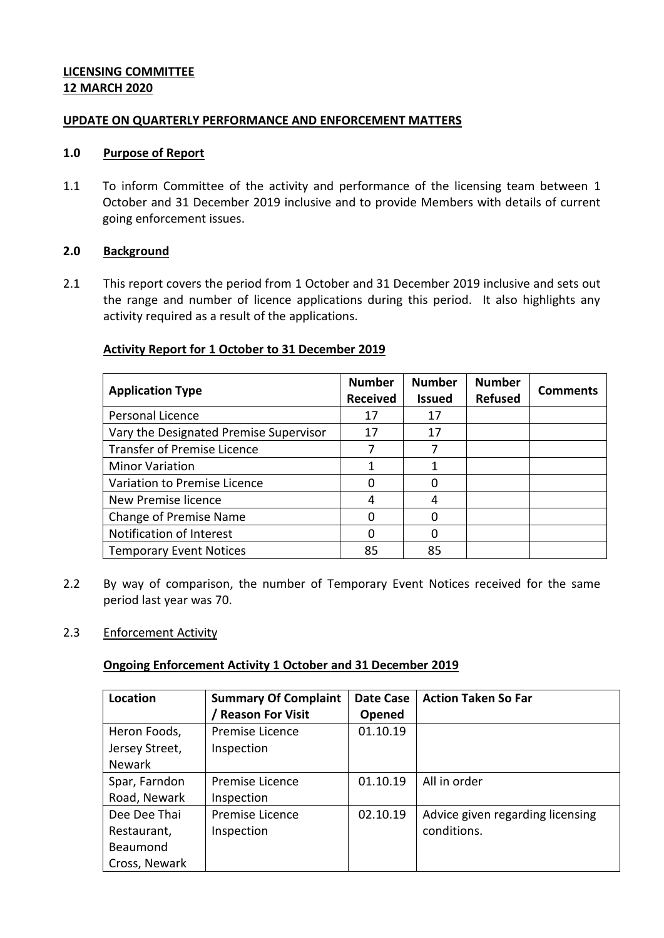## **LICENSING COMMITTEE 12 MARCH 2020**

### **UPDATE ON QUARTERLY PERFORMANCE AND ENFORCEMENT MATTERS**

### **1.0 Purpose of Report**

1.1 To inform Committee of the activity and performance of the licensing team between 1 October and 31 December 2019 inclusive and to provide Members with details of current going enforcement issues.

### **2.0 Background**

2.1 This report covers the period from 1 October and 31 December 2019 inclusive and sets out the range and number of licence applications during this period. It also highlights any activity required as a result of the applications.

# **Activity Report for 1 October to 31 December 2019**

| <b>Application Type</b>                | <b>Number</b><br><b>Received</b> | <b>Number</b><br><b>Issued</b> | <b>Number</b><br><b>Refused</b> | <b>Comments</b> |
|----------------------------------------|----------------------------------|--------------------------------|---------------------------------|-----------------|
| Personal Licence                       | 17                               | 17                             |                                 |                 |
| Vary the Designated Premise Supervisor | 17                               | 17                             |                                 |                 |
| <b>Transfer of Premise Licence</b>     |                                  |                                |                                 |                 |
| <b>Minor Variation</b>                 |                                  |                                |                                 |                 |
| Variation to Premise Licence           | O                                |                                |                                 |                 |
| New Premise licence                    | 4                                |                                |                                 |                 |
| <b>Change of Premise Name</b>          | ი                                |                                |                                 |                 |
| Notification of Interest               | O                                |                                |                                 |                 |
| <b>Temporary Event Notices</b>         | 85                               | 85                             |                                 |                 |

2.2 By way of comparison, the number of Temporary Event Notices received for the same period last year was 70.

# 2.3 Enforcement Activity

### **Ongoing Enforcement Activity 1 October and 31 December 2019**

| Location       | <b>Summary Of Complaint</b> | Date Case | <b>Action Taken So Far</b>       |  |
|----------------|-----------------------------|-----------|----------------------------------|--|
|                | <b>Reason For Visit</b>     | Opened    |                                  |  |
| Heron Foods,   | Premise Licence             | 01.10.19  |                                  |  |
| Jersey Street, | Inspection                  |           |                                  |  |
| <b>Newark</b>  |                             |           |                                  |  |
| Spar, Farndon  | Premise Licence             | 01.10.19  | All in order                     |  |
| Road, Newark   | Inspection                  |           |                                  |  |
| Dee Dee Thai   | Premise Licence             | 02.10.19  | Advice given regarding licensing |  |
| Restaurant,    | Inspection                  |           | conditions.                      |  |
| Beaumond       |                             |           |                                  |  |
| Cross, Newark  |                             |           |                                  |  |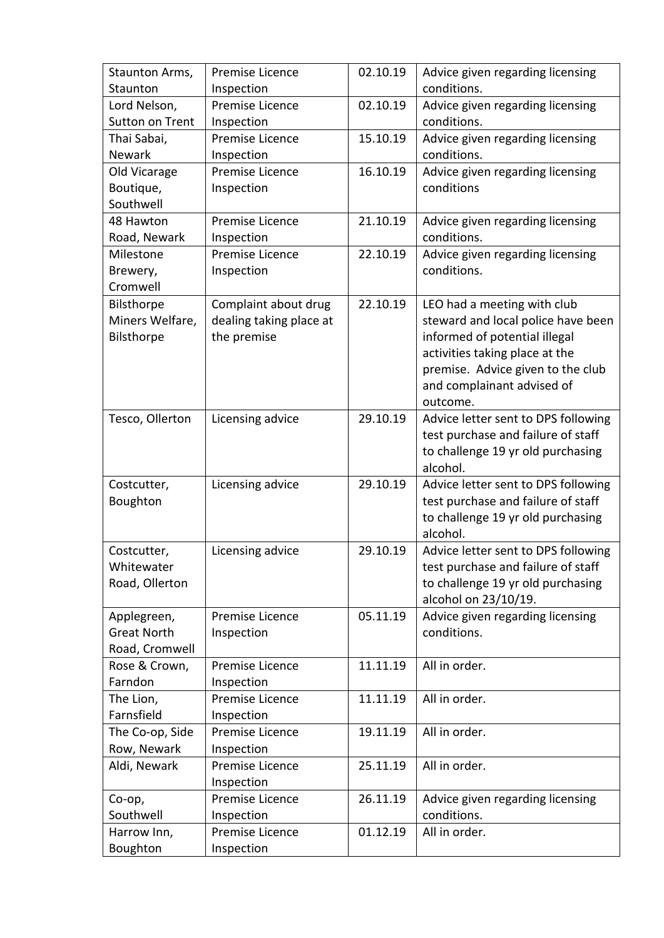| Staunton Arms,     | Premise Licence         | 02.10.19 | Advice given regarding licensing    |
|--------------------|-------------------------|----------|-------------------------------------|
| Staunton           | Inspection              |          | conditions.                         |
| Lord Nelson,       | Premise Licence         | 02.10.19 | Advice given regarding licensing    |
| Sutton on Trent    | Inspection              |          | conditions.                         |
| Thai Sabai,        | Premise Licence         | 15.10.19 | Advice given regarding licensing    |
| Newark             | Inspection              |          | conditions.                         |
| Old Vicarage       | Premise Licence         | 16.10.19 | Advice given regarding licensing    |
| Boutique,          | Inspection              |          | conditions                          |
| Southwell          |                         |          |                                     |
| 48 Hawton          | Premise Licence         | 21.10.19 | Advice given regarding licensing    |
| Road, Newark       | Inspection              |          | conditions.                         |
| Milestone          | Premise Licence         | 22.10.19 | Advice given regarding licensing    |
| Brewery,           | Inspection              |          | conditions.                         |
| Cromwell           |                         |          |                                     |
| Bilsthorpe         | Complaint about drug    | 22.10.19 | LEO had a meeting with club         |
| Miners Welfare,    | dealing taking place at |          | steward and local police have been  |
| Bilsthorpe         | the premise             |          | informed of potential illegal       |
|                    |                         |          | activities taking place at the      |
|                    |                         |          | premise. Advice given to the club   |
|                    |                         |          | and complainant advised of          |
|                    |                         |          | outcome.                            |
| Tesco, Ollerton    | Licensing advice        | 29.10.19 | Advice letter sent to DPS following |
|                    |                         |          | test purchase and failure of staff  |
|                    |                         |          | to challenge 19 yr old purchasing   |
|                    |                         |          | alcohol.                            |
| Costcutter,        | Licensing advice        | 29.10.19 | Advice letter sent to DPS following |
| Boughton           |                         |          | test purchase and failure of staff  |
|                    |                         |          | to challenge 19 yr old purchasing   |
|                    |                         |          | alcohol.                            |
| Costcutter,        | Licensing advice        | 29.10.19 | Advice letter sent to DPS following |
| Whitewater         |                         |          | test purchase and failure of staff  |
| Road, Ollerton     |                         |          | to challenge 19 yr old purchasing   |
|                    |                         |          | alcohol on 23/10/19.                |
| Applegreen,        | Premise Licence         | 05.11.19 | Advice given regarding licensing    |
| <b>Great North</b> | Inspection              |          | conditions.                         |
| Road, Cromwell     |                         |          |                                     |
| Rose & Crown,      | Premise Licence         | 11.11.19 | All in order.                       |
| Farndon            | Inspection              |          |                                     |
| The Lion,          | Premise Licence         | 11.11.19 | All in order.                       |
| Farnsfield         | Inspection              |          |                                     |
| The Co-op, Side    | Premise Licence         | 19.11.19 | All in order.                       |
| Row, Newark        | Inspection              |          |                                     |
| Aldi, Newark       | Premise Licence         | 25.11.19 | All in order.                       |
|                    | Inspection              |          |                                     |
| Co-op,             | Premise Licence         | 26.11.19 | Advice given regarding licensing    |
| Southwell          | Inspection              |          | conditions.                         |
| Harrow Inn,        | Premise Licence         | 01.12.19 | All in order.                       |
| Boughton           | Inspection              |          |                                     |